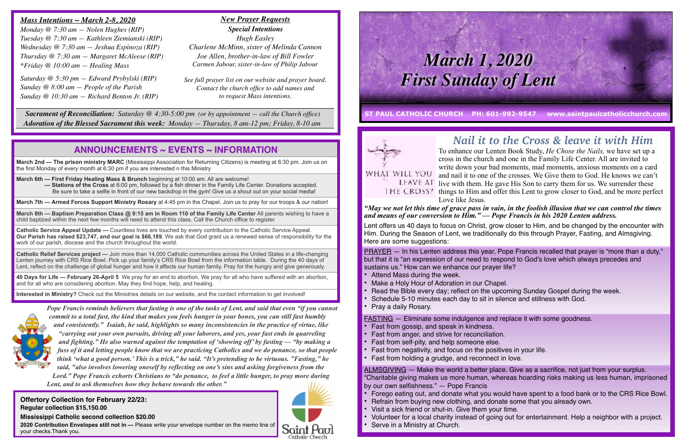# *Nail it to the Cross & leave it with Him*

To enhance our Lenten Book Study, *He Chose the Nails,* we have set up a cross in the church and one in the Family Life Center. All are invited to write down your bad moments, mad moments, anxious moments on a card and nail it to one of the crosses. We Give them to God. He knows we can't LEAVE AT live with them. He gave His Son to carry them for us. We surrender these things to Him and offer this Lent to grow closer to God, and be more perfect Love like Jesus.

# *"May we not let this time of grace pass in vain, in the foolish illusion that we can control the times*

*and means of our conversion to Him." — Pope Francis in his 2020 Lenten address.* 

- Attend Mass during the week.
- Make a Holy Hour of Adoration in our Chapel.
- Read the Bible every day; reflect on the upcoming Sunday Gospel during the week.
- Schedule 5-10 minutes each day to sit in silence and stillness with God.
- Pray a daily Rosary.

FASTING - Eliminate some indulgence and replace it with some goodness.

- Fast from gossip, and speak in kindness.
- Fast from anger, and strive for reconciliation.
- Fast from self-pity, and help someone else.
- Fast from negativity, and focus on the positives in your life.
- Fast from holding a grudge, and reconnect in love.

Lent offers us 40 days to focus on Christ, grow closer to Him, and be changed by the encounter with Him. During the Season of Lent, we traditionally do this through Prayer, Fasting, and Almsgiving. Here are some suggestions:

PRAYER — In his Lenten address this year, Pope Francis recalled that prayer is "more than a duty," but that it is "an expression of our need to respond to God's love which always precedes and sustains us." How can we enhance our prayer life?

- 
- Refrain from buying new clothing, and donate some that you already own.
- Visit a sick friend or shut-in. Give them your time.
- 
- Serve in a Ministry at Church.



ALMSGIVING — Make the world a better place. Give as a sacrifice, not just from your surplus. "Charitable giving makes us more human, whereas hoarding risks making us less human, imprisoned by our own selfishness." — Pope Francis

• Forego eating out, and donate what you would have spent to a food bank or to the CRS Rice Bowl.

**March 8th — Baptism Preparation Class @ 9:15 am in Room 110 of the Family Life Center All parents wishing to have a** child baptized within the next few months will need to attend this class. Call the Church office to register.

• Volunteer for a local charity instead of going out for entertainment. Help a neighbor with a project.

## *Mass Intentions ~ March 2-8, 2020*

*Monday @ 7:30 am — Nolen Hughes (RIP) Tuesday @ 7:30 am — Kathleen Ziemianski (RIP) Wednesday @ 7:30 am — Jeshua Espinoza (RIP) Thursday @ 7:30 am — Margaret McAleese (RIP) \*Friday @ 10:00 am — Healing Mass*

*Saturday @ 5:30 pm — Edward Prybylski (RIP) Sunday @ 8:00 am — People of the Parish Sunday @ 10:30 am — Richard Benton Jr. (RIP)*

 *Sacrament of Reconciliation: Saturday @ 4:30-5:00 pm (or by appointment — call the Church office) Adoration of the Blessed Sacrament this week: Monday — Thursday, 8 am-12 pm; Friday, 8-10 am*

**Offertory Collection for February 22/23: Regular collection \$15,150.00**

### **Mississippi Catholic second collection \$20.00**

**2020 Contribution Envelopes still not in —** Please write your envelope number on the memo line of your checks.Thank you.



*New Prayer Requests Special Intentions Hugh Easley Charlene McMinn, sister of Melinda Cannon Joe Allen, brother-in-law of Bill Fowler Carmen Jabour, sister-in-law of Philip Jabour*

*See full prayer list on our website and prayer board. Contact the church office to add names and to request Mass intentions.*

## **ANNOUNCEMENTS ~ EVENTS ~ INFORMATION**

**March 2nd — The prison ministry MARC** (Mississippi Association for Returning Citizens) is meeting at 6:30 pm. Join us on the first Monday of every month at 6:30 pm if you are interested n this Ministry

**March 6th — First Friday Healing Mass & Brunch** beginning at 10:00 am. All are welcome! **— Stations of the Cross** at 6:00 pm, followed by a fish dinner in the Family Life Center. Donations accepted. Be sure to take a selfie in front of our new backdrop in the gym! Give us a shout out on your social media!

**March 7th — Armed Forces Support Ministry Rosary** at 4:45 pm in the Chapel. Join us to pray for our troops & our nation!

**Catholic Service Appeal Update —** Countless lives are touched by every contribution to the Catholic Service Appeal. **Our Parish has raised \$23,747, and our goal is \$66,189**. We ask that God grant us a renewed sense of responsibility for the work of our parish, diocese and the church throughout the world.

**Catholic Relief Services project —** Join more than 14,000 Catholic communities across the United States in a life-changing Lenten journey with CRS Rice Bowl. Pick up your family's CRS Rice Bowl from the information table. During the 40 days of Lent, reflect on the challenge of global hunger and how it affects our human family. Pray for the hungry and give generously.

**40 Days for Life — February 26-April 5** We pray for an end to abortion. We pray for all who have suffered with an abortion, and for all who are considering abortion. May they find hope, help, and healing.

**Interested in Ministry?** Check out the Ministries details on our website, and the contact information to get involved!



**ST PAUL CATHOLIC CHURCH PH: 601-992-9547 www.saintpaulcatholicchurch.com** 

# WHAT WILL YOU

# *March 1, 2020 First Sunday of Lent*

*Pope Francis reminds believers that fasting is one of the tasks of Lent, and said that even "if you cannot commit to a total fast, the kind that makes you feels hunger in your bones, you can still fast humbly and consistently." Isaiah, he said, highlights so many inconsistencies in the practice of virtue, like "carrying out your own pursuits, driving all your laborers, and yes, your fast ends in quarreling* 

*and fighting." He also warned against the temptation of 'showing off' by fasting — "by making a fuss of it and letting people know that we are practicing Catholics and we do penance, so that people think 'what a good person.' This is a trick," he said. "It's pretending to be virtuous. "Fasting," he said, "also involves lowering oneself by reflecting on one's sins and asking forgiveness from the Lord." Pope Francis exhorts Christians to "do penance, to feel a little hunger, to pray more during Lent, and to ask themselves how they behave towards the other."*